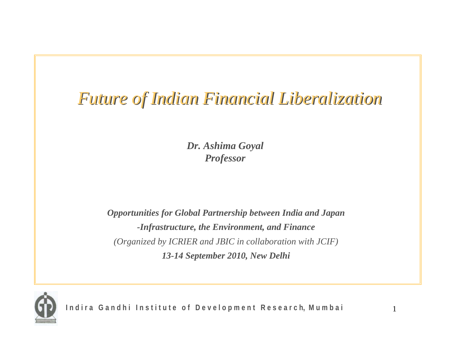### *Future of Indian Financial Liberalization Future of Indian Financial Liberalization*

*Dr. Ashima Goyal Professor*

*Opportunities for Global Partnership between India and Japan -Infrastructure, the Environment, and Finance (Organized by ICRIER and JBIC in collaboration with JCIF) 13-14 September 2010, New Delhi*



Indira Gandhi Institute of Development Research, Mumbai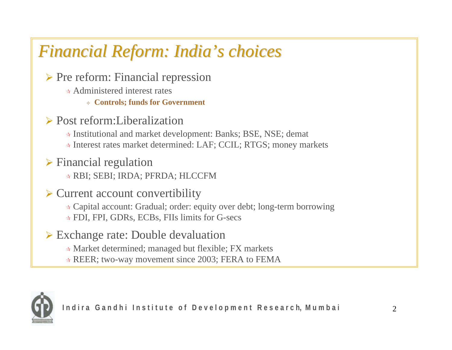## *Financial Reform: India Financial Reform: India's choices s choices*

¾ Pre reform: Financial repression

- Administered interest rates
	- **Controls; funds for Government**
- ¾ Post reform:Liberalization
	- Institutional and market development: Banks; BSE, NSE; demat
	- Interest rates market determined: LAF; CCIL; RTGS; money markets
- $\triangleright$  Financial regulation
	- RBI; SEBI; IRDA; PFRDA; HLCCFM

#### $\triangleright$  Current account convertibility

Capital account: Gradual; order: equity over debt; long-term borrowing

- FDI, FPI, GDRs, ECBs, FIIs limits for G-secs
- $\triangleright$  Exchange rate: Double devaluation
	- Market determined; managed but flexible; FX markets
	- REER; two-way movement since 2003; FERA to FEMA

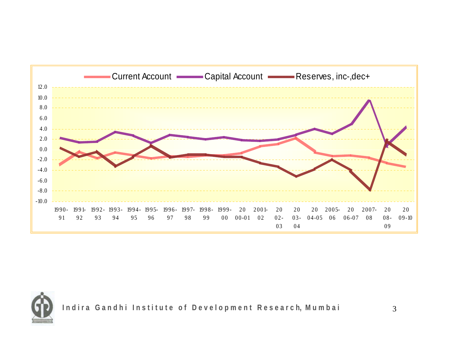



Indira Gandhi Institute of Development Research, Mumbai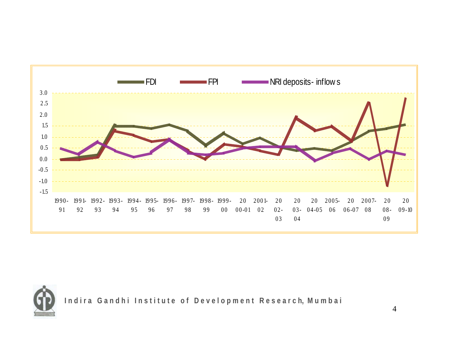



Indira Gandhi Institute of Development Research, Mumbai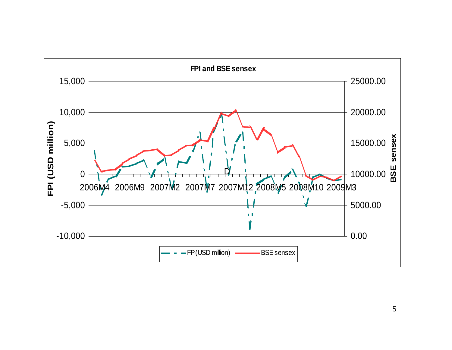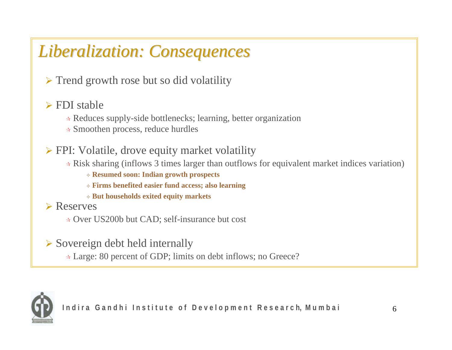# *Liberalization: Consequences Liberalization: Consequences*

 $\triangleright$  Trend growth rose but so did volatility

#### $\triangleright$  FDI stable

- Reduces supply-side bottlenecks; learning, better organization
- Smoothen process, reduce hurdles

#### ¾ FPI: Volatile, drove equity market volatility

Risk sharing (inflows 3 times larger than outflows for equivalent market indices variation)

**Resumed soon: Indian growth prospects**

**Firms benefited easier fund access; also learning** 

**But households exited equity markets**

**≻** Reserves

Over US200b but CAD; self-insurance but cost

 $\triangleright$  Sovereign debt held internally

Large: 80 percent of GDP; limits on debt inflows; no Greece?

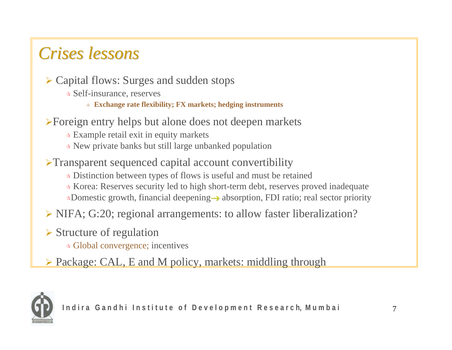### *Crises lessons Crises lessons*

- ¾ Capital flows: Surges and sudden stops
	- Self-insurance, reserves
		- **Exchange rate flexibility; FX markets; hedging instruments**
- <sup>¾</sup>Foreign entry helps but alone does not deepen markets
	- Example retail exit in equity markets
	- New private banks but still large unbanked population
- <sup>¾</sup>Transparent sequenced capital account convertibility
	- Distinction between types of flows is useful and must be retained
	- Korea: Reserves security led to high short-term debt, reserves proved inadequate Domestic growth, financial deepening<sup>→</sup> absorption, FDI ratio; real sector priority
- ¾ NIFA; G:20; regional arrangements: to allow faster liberalization?
- $\triangleright$  Structure of regulation
	- Global convergence; incentives
- ¾ Package: CAL, E and M policy, markets: middling through

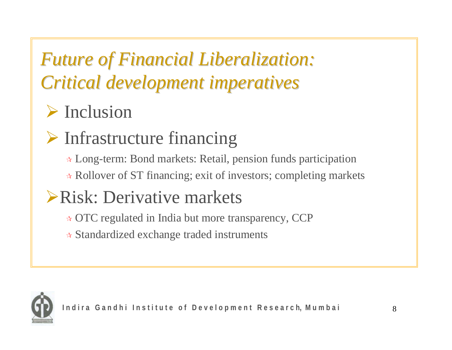# *Future of Financial Liberalization: Future of Financial Liberalization: Critical development imperatives Critical development imperatives*

# $\triangleright$  Inclusion

# ¾ Infrastructure financing

- Long-term: Bond markets: Retail, pension funds participation
- Rollover of ST financing; exit of investors; completing markets

# ¾Risk: Derivative markets

- OTC regulated in India but more transparency, CCP
- Standardized exchange traded instruments

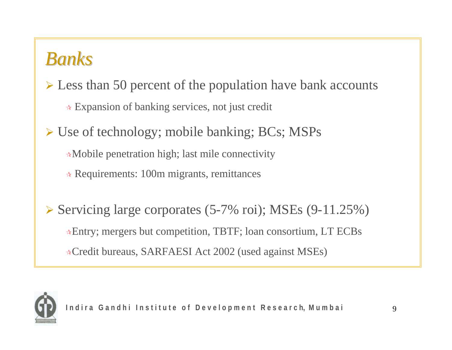### *Banks*

¾ Less than 50 percent of the population have bank accounts

Expansion of banking services, not just credit

¾ Use of technology; mobile banking; BCs; MSPs Mobile penetration high; last mile connectivity Requirements: 100m migrants, remittances

¾ Servicing large corporates (5-7% roi); MSEs (9-11.25%) Entry; mergers but competition, TBTF; loan consortium, LT ECBs Credit bureaus, SARFAESI Act 2002 (used against MSEs)

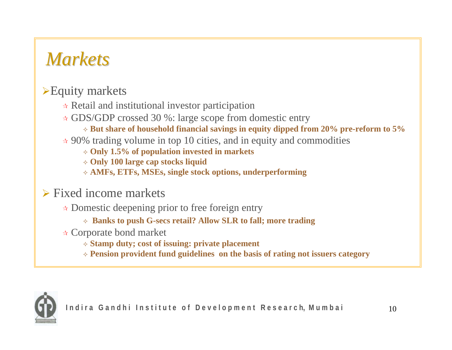## *Markets Markets*

#### $\blacktriangleright$  Equity markets

- $\ast$  Retail and institutional investor participation
- GDS/GDP crossed 30 %: large scope from domestic entry
	- **But share of household financial savings in equity dipped from 20% pre-reform to 5%**
- $\star$  90% trading volume in top 10 cities, and in equity and commodities
	- **Only 1.5% of population invested in markets**
	- **Only 100 large cap stocks liquid**
	- **AMFs, ETFs, MSEs, single stock options, underperforming**

#### $\triangleright$  Fixed income markets

- Domestic deepening prior to free foreign entry
	- **Banks to push G-secs retail? Allow SLR to fall; more trading**
- Corporate bond market
	- **Stamp duty; cost of issuing: private placement**
	- **Pension provident fund guidelines on the basis of rating not issuers category**

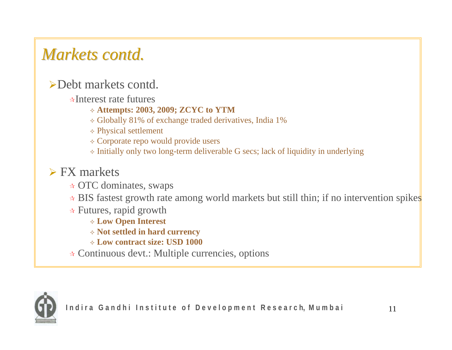## *Markets contd. Markets contd.*

#### ¾Debt markets contd.

- Interest rate futures
	- **Attempts: 2003, 2009; ZCYC to YTM**
	- Globally 81% of exchange traded derivatives, India 1%
	- Physical settlement
	- $\Diamond$  Corporate repo would provide users
	- $\Diamond$  Initially only two long-term deliverable G secs; lack of liquidity in underlying

### $\triangleright$  FX markets

- OTC dominates, swaps
- \* BIS fastest growth rate among world markets but still thin; if no intervention spikes
- $\star$  Futures, rapid growth
	- **Low Open Interest**
	- **Not settled in hard currency**
	- **Low contract size: USD 1000**
- Continuous devt.: Multiple currencies, options

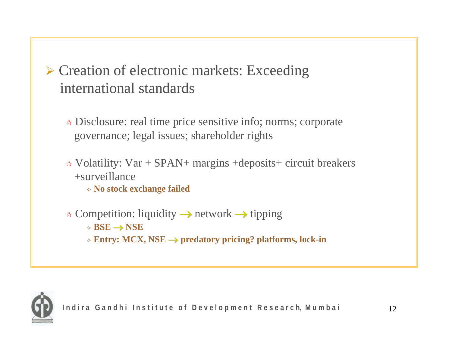### ¾ Creation of electronic markets: Exceeding international standards

- Disclosure: real time price sensitive info; norms; corporate governance; legal issues; shareholder rights
- Volatility: Var + SPAN+ margins +deposits+ circuit breakers +surveillance
	- **No stock exchange failed**
- $\star$  Competition: liquidity  $\to$  network  $\to$  tipping
	- **BSE** → **NSE**
	- **Entry: MCX, NSE** <sup>→</sup> **predatory pricing? platforms, lock-in**

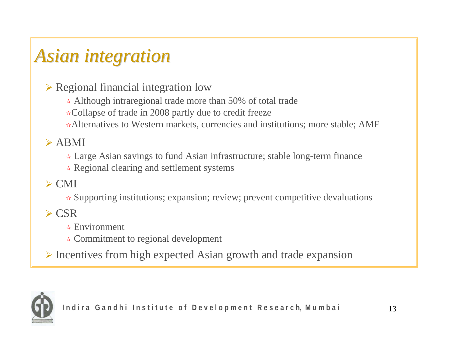# *Asian integration Asian integration*

 $\triangleright$  Regional financial integration low

Although intraregional trade more than 50% of total trade

**★Collapse of trade in 2008 partly due to credit freeze** 

Alternatives to Western markets, currencies and institutions; more stable; AMF

#### $\triangleright$  ABMI

Large Asian savings to fund Asian infrastructure; stable long-term finance

 $\star$  Regional clearing and settlement systems

#### $\triangleright$  CMI

Supporting institutions; expansion; review; prevent competitive devaluations

#### $\triangleright$  CSR

- $\star$  Environment
- Commitment to regional development

¾ Incentives from high expected Asian growth and trade expansion

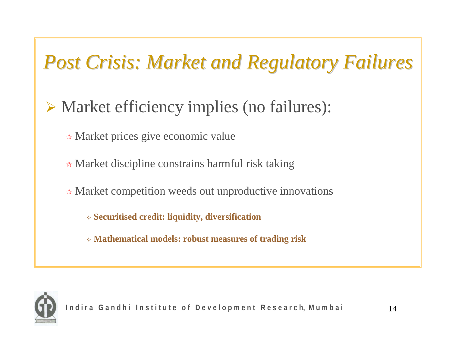# *Post Crisis: Market and Regulatory Failures Post Crisis: Market and Regulatory Failures*

- ¾ Market efficiency implies (no failures):
	- Market prices give economic value
	- Market discipline constrains harmful risk taking
	- Market competition weeds out unproductive innovations
		- **Securitised credit: liquidity, diversification**
		- **Mathematical models: robust measures of trading risk**

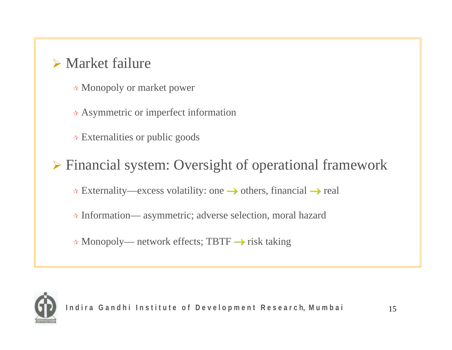### $\triangleright$  Market failure

- Monopoly or market power
- $\star$  Asymmetric or imperfect information
- **★ Externalities or public goods**

### ¾ Financial system: Oversight of operational framework

- $\star$  Externality—excess volatility: one  $\rightarrow$  others, financial  $\rightarrow$  real
- Information— asymmetric; adverse selection, moral hazard
- Monopoly— network effects; TBTF <sup>→</sup> risk taking

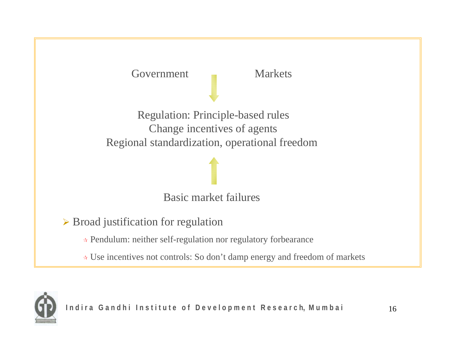Government Markets

Regulation: Principle-based rules Change incentives of agents Regional standardization, operational freedom

Basic market failures

 $\triangleright$  Broad justification for regulation

- Pendulum: neither self-regulation nor regulatory forbearance
- Use incentives not controls: So don't damp energy and freedom of markets

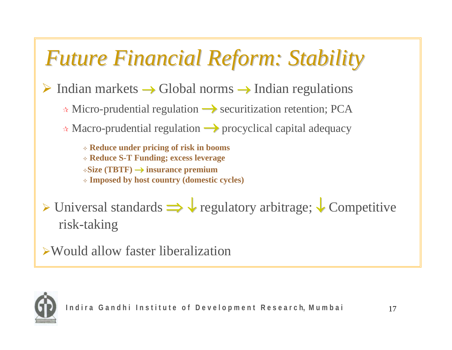# *Future Financial Reform: Stability Future Financial Reform: Stability*

 $\triangleright$  Indian markets  $\rightarrow$  Global norms  $\rightarrow$  Indian regulations

**★ Micro-prudential regulation → securitization retention; PCA** 

Macro-prudential regulation → procyclical capital adequacy

 **Reduce under pricing of risk in booms Reduce S-T Funding; excess leverage Size (TBTF)** <sup>→</sup> **insurance premium Imposed by host country (domestic cycles)**

### ¾ Universal standards ⇒ ↓ regulatory arbitrage; ↓ Competitive risk-taking

¾Would allow faster liberalization

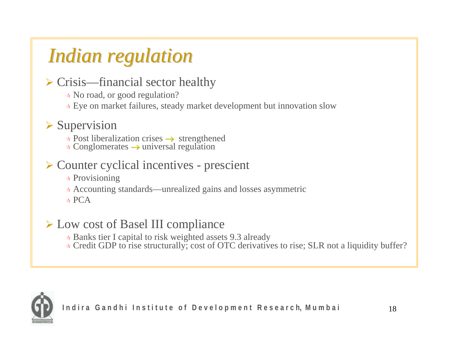# *Indian regulation Indian regulation*

#### $\triangleright$  Crisis—financial sector healthy

No road, or good regulation?

Eye on market failures, steady market development but innovation slow

### $\triangleright$  Supervision

 $\star$  Post liberalization crises  $\to$  strengthened

 $\star$  Conglomerates  $\to$  universal regulation

#### ¾ Counter cyclical incentives - prescient

 $\star$  Provisioning

Accounting standards—unrealized gains and losses asymmetric

 $\star$  PCA

#### ¾ Low cost of Basel III compliance

- Banks tier I capital to risk weighted assets 9.3 already
- ★ Credit GDP to rise structurally; cost of OTC derivatives to rise; SLR not a liquidity buffer?